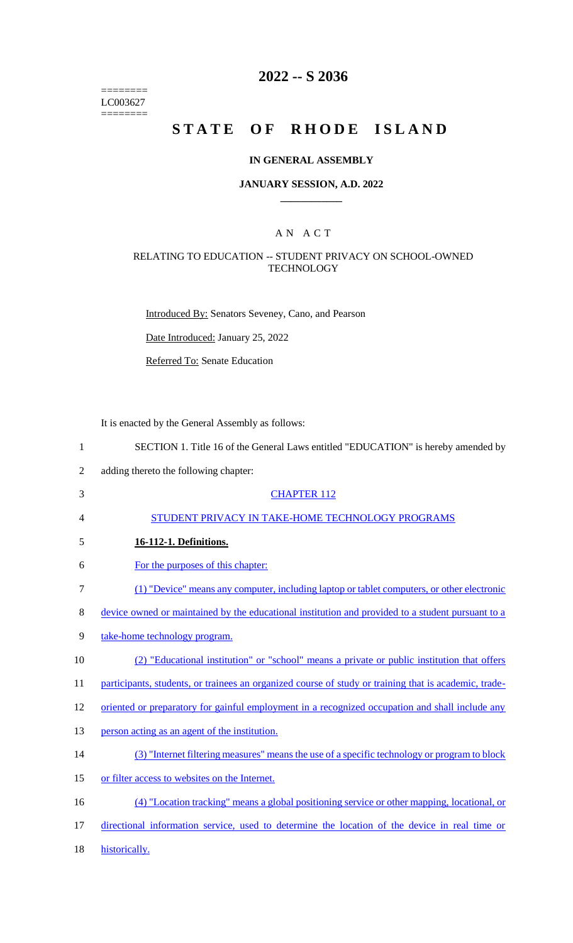======== LC003627  $=$ 

# **2022 -- S 2036**

# STATE OF RHODE ISLAND

## **IN GENERAL ASSEMBLY**

## **JANUARY SESSION, A.D. 2022 \_\_\_\_\_\_\_\_\_\_\_\_**

## A N A C T

## RELATING TO EDUCATION -- STUDENT PRIVACY ON SCHOOL-OWNED **TECHNOLOGY**

Introduced By: Senators Seveney, Cano, and Pearson

Date Introduced: January 25, 2022

Referred To: Senate Education

It is enacted by the General Assembly as follows:

| $\mathbf{1}$   | SECTION 1. Title 16 of the General Laws entitled "EDUCATION" is hereby amended by                     |
|----------------|-------------------------------------------------------------------------------------------------------|
| $\overline{2}$ | adding thereto the following chapter:                                                                 |
| 3              | <b>CHAPTER 112</b>                                                                                    |
| 4              | STUDENT PRIVACY IN TAKE-HOME TECHNOLOGY PROGRAMS                                                      |
| 5              | 16-112-1. Definitions.                                                                                |
| 6              | For the purposes of this chapter:                                                                     |
| $\tau$         | (1) "Device" means any computer, including laptop or tablet computers, or other electronic            |
| $8\,$          | device owned or maintained by the educational institution and provided to a student pursuant to a     |
| 9              | take-home technology program.                                                                         |
| 10             | (2) "Educational institution" or "school" means a private or public institution that offers           |
| 11             | participants, students, or trainees an organized course of study or training that is academic, trade- |
| 12             | oriented or preparatory for gainful employment in a recognized occupation and shall include any       |
| 13             | person acting as an agent of the institution.                                                         |
| 14             | (3) "Internet filtering measures" means the use of a specific technology or program to block          |
| 15             | or filter access to websites on the Internet.                                                         |
| 16             | (4) "Location tracking" means a global positioning service or other mapping, locational, or           |
| 17             | directional information service, used to determine the location of the device in real time or         |
| 18             | historically.                                                                                         |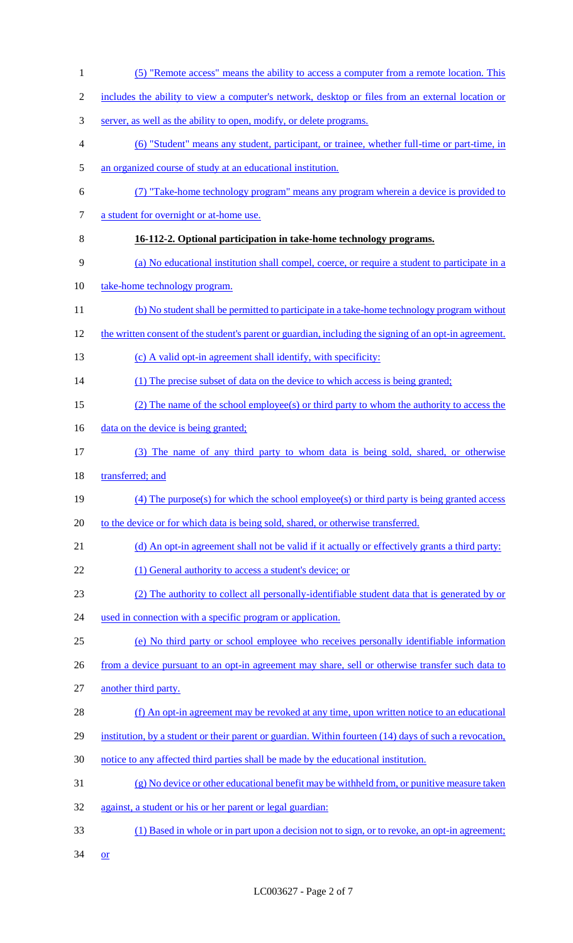| $\mathbf{1}$   | (5) "Remote access" means the ability to access a computer from a remote location. This                |
|----------------|--------------------------------------------------------------------------------------------------------|
| $\mathbf{2}$   | includes the ability to view a computer's network, desktop or files from an external location or       |
| 3              | server, as well as the ability to open, modify, or delete programs.                                    |
| $\overline{4}$ | (6) "Student" means any student, participant, or trainee, whether full-time or part-time, in           |
| $\mathfrak{S}$ | an organized course of study at an educational institution.                                            |
| 6              | (7) "Take-home technology program" means any program wherein a device is provided to                   |
| $\tau$         | a student for overnight or at-home use.                                                                |
| 8              | 16-112-2. Optional participation in take-home technology programs.                                     |
| 9              | (a) No educational institution shall compel, coerce, or require a student to participate in a          |
| 10             | take-home technology program.                                                                          |
| 11             | (b) No student shall be permitted to participate in a take-home technology program without             |
| 12             | the written consent of the student's parent or guardian, including the signing of an opt-in agreement. |
| 13             | (c) A valid opt-in agreement shall identify, with specificity:                                         |
| 14             | (1) The precise subset of data on the device to which access is being granted;                         |
| 15             | (2) The name of the school employee(s) or third party to whom the authority to access the              |
| 16             | data on the device is being granted;                                                                   |
| 17             | (3) The name of any third party to whom data is being sold, shared, or otherwise                       |
| 18             | transferred; and                                                                                       |
| 19             | $(4)$ The purpose(s) for which the school employee(s) or third party is being granted access           |
| 20             | to the device or for which data is being sold, shared, or otherwise transferred.                       |
| 21             | (d) An opt-in agreement shall not be valid if it actually or effectively grants a third party:         |
| 22             | (1) General authority to access a student's device; or                                                 |
| 23             | (2) The authority to collect all personally-identifiable student data that is generated by or          |
| 24             | used in connection with a specific program or application.                                             |
| 25             | (e) No third party or school employee who receives personally identifiable information                 |
| 26             | from a device pursuant to an opt-in agreement may share, sell or otherwise transfer such data to       |
| 27             | another third party.                                                                                   |
| 28             | (f) An opt-in agreement may be revoked at any time, upon written notice to an educational              |
| 29             | institution, by a student or their parent or guardian. Within fourteen (14) days of such a revocation, |
| 30             | notice to any affected third parties shall be made by the educational institution.                     |
| 31             | (g) No device or other educational benefit may be withheld from, or punitive measure taken             |
| 32             | against, a student or his or her parent or legal guardian:                                             |
| 33             | (1) Based in whole or in part upon a decision not to sign, or to revoke, an opt-in agreement;          |
| 34             | <b>or</b>                                                                                              |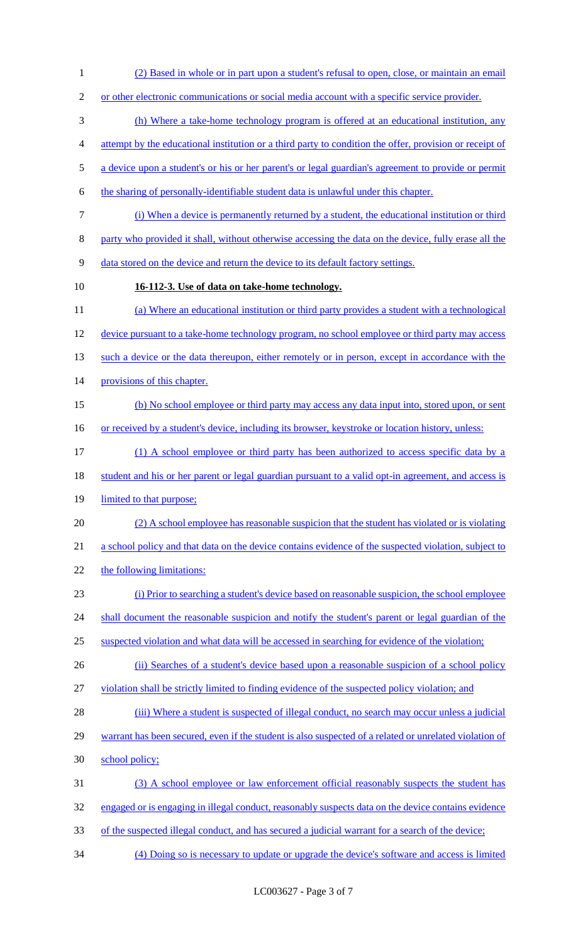- (2) Based in whole or in part upon a student's refusal to open, close, or maintain an email 2 or other electronic communications or social media account with a specific service provider. (h) Where a take-home technology program is offered at an educational institution, any attempt by the educational institution or a third party to condition the offer, provision or receipt of a device upon a student's or his or her parent's or legal guardian's agreement to provide or permit the sharing of personally-identifiable student data is unlawful under this chapter. (i) When a device is permanently returned by a student, the educational institution or third party who provided it shall, without otherwise accessing the data on the device, fully erase all the data stored on the device and return the device to its default factory settings. **16-112-3. Use of data on take-home technology.** (a) Where an educational institution or third party provides a student with a technological device pursuant to a take-home technology program, no school employee or third party may access 13 such a device or the data thereupon, either remotely or in person, except in accordance with the 14 provisions of this chapter. (b) No school employee or third party may access any data input into, stored upon, or sent 16 or received by a student's device, including its browser, keystroke or location history, unless: (1) A school employee or third party has been authorized to access specific data by a 18 student and his or her parent or legal guardian pursuant to a valid opt-in agreement, and access is limited to that purpose; (2) A school employee has reasonable suspicion that the student has violated or is violating a school policy and that data on the device contains evidence of the suspected violation, subject to the following limitations: (i) Prior to searching a student's device based on reasonable suspicion, the school employee 24 shall document the reasonable suspicion and notify the student's parent or legal guardian of the suspected violation and what data will be accessed in searching for evidence of the violation; 26 (ii) Searches of a student's device based upon a reasonable suspicion of a school policy violation shall be strictly limited to finding evidence of the suspected policy violation; and 28 (iii) Where a student is suspected of illegal conduct, no search may occur unless a judicial warrant has been secured, even if the student is also suspected of a related or unrelated violation of school policy; (3) A school employee or law enforcement official reasonably suspects the student has engaged or is engaging in illegal conduct, reasonably suspects data on the device contains evidence of the suspected illegal conduct, and has secured a judicial warrant for a search of the device;
	- LC003627 Page 3 of 7

(4) Doing so is necessary to update or upgrade the device's software and access is limited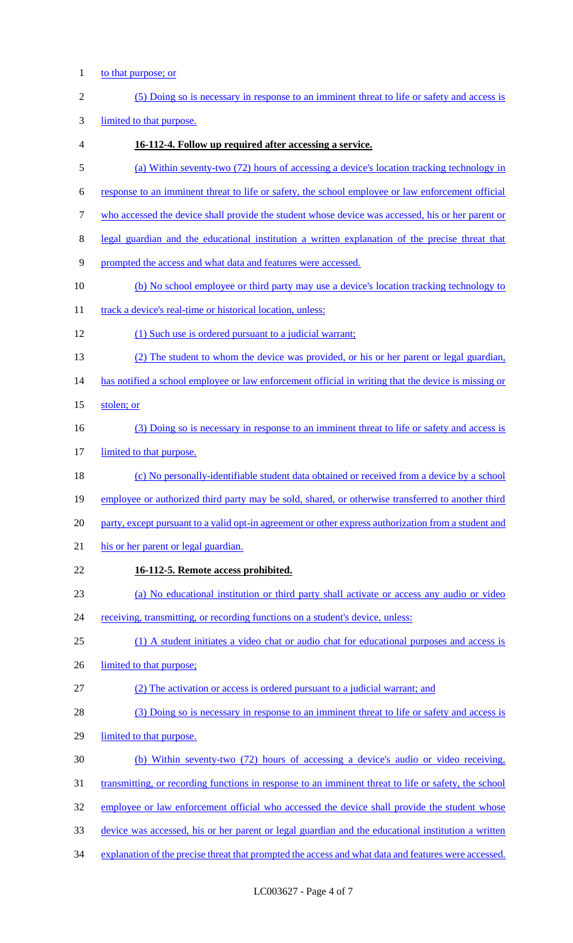1 to that purpose; or

| $\overline{2}$   | (5) Doing so is necessary in response to an imminent threat to life or safety and access is                 |
|------------------|-------------------------------------------------------------------------------------------------------------|
| 3                | limited to that purpose.                                                                                    |
| 4                | 16-112-4. Follow up required after accessing a service.                                                     |
| 5                | (a) Within seventy-two (72) hours of accessing a device's location tracking technology in                   |
| 6                | response to an imminent threat to life or safety, the school employee or law enforcement official           |
| $\boldsymbol{7}$ | who accessed the device shall provide the student whose device was accessed, his or her parent or           |
| $8\,$            | legal guardian and the educational institution a written explanation of the precise threat that             |
| 9                | prompted the access and what data and features were accessed.                                               |
| 10               | (b) No school employee or third party may use a device's location tracking technology to                    |
| 11               | track a device's real-time or historical location, unless:                                                  |
| 12               | (1) Such use is ordered pursuant to a judicial warrant;                                                     |
| 13               | (2) The student to whom the device was provided, or his or her parent or legal guardian,                    |
| 14               | has notified a school employee or law enforcement official in writing that the device is missing or         |
| 15               | stolen; or                                                                                                  |
| 16               | (3) Doing so is necessary in response to an imminent threat to life or safety and access is                 |
| 17               | limited to that purpose.                                                                                    |
| 18               | (c) No personally-identifiable student data obtained or received from a device by a school                  |
| 19               | employee or authorized third party may be sold, shared, or otherwise transferred to another third           |
| 20               | party, except pursuant to a valid opt-in agreement or other express authorization from a student and        |
| 21               | his or her parent or legal guardian.                                                                        |
| 22               | 16-112-5. Remote access prohibited.                                                                         |
| 23               | (a) No educational institution or third party shall activate or access any audio or video                   |
| 24               | receiving, transmitting, or recording functions on a student's device, unless:                              |
| 25               | (1) A student initiates a video chat or audio chat for educational purposes and access is                   |
| 26               | limited to that purpose;                                                                                    |
| 27               | (2) The activation or access is ordered pursuant to a judicial warrant; and                                 |
| 28               | (3) Doing so is necessary in response to an imminent threat to life or safety and access is                 |
| 29               | limited to that purpose.                                                                                    |
| 30               | (b) Within seventy-two (72) hours of accessing a device's audio or video receiving,                         |
| 31               | <u>transmitting, or recording functions in response to an imminent threat to life or safety, the school</u> |
| 32               | employee or law enforcement official who accessed the device shall provide the student whose                |
| 33               | device was accessed, his or her parent or legal guardian and the educational institution a written          |
| 34               | explanation of the precise threat that prompted the access and what data and features were accessed.        |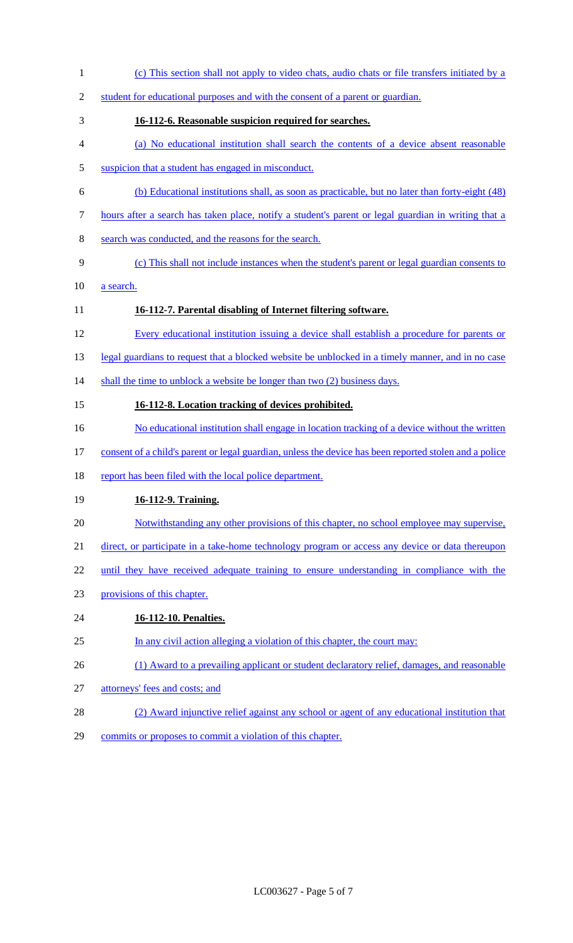- (c) This section shall not apply to video chats, audio chats or file transfers initiated by a 2 student for educational purposes and with the consent of a parent or guardian. **16-112-6. Reasonable suspicion required for searches.** (a) No educational institution shall search the contents of a device absent reasonable 5 suspicion that a student has engaged in misconduct. (b) Educational institutions shall, as soon as practicable, but no later than forty-eight (48) hours after a search has taken place, notify a student's parent or legal guardian in writing that a search was conducted, and the reasons for the search. (c) This shall not include instances when the student's parent or legal guardian consents to a search. **16-112-7. Parental disabling of Internet filtering software.** Every educational institution issuing a device shall establish a procedure for parents or 13 legal guardians to request that a blocked website be unblocked in a timely manner, and in no case 14 shall the time to unblock a website be longer than two (2) business days. **16-112-8. Location tracking of devices prohibited.** 16 No educational institution shall engage in location tracking of a device without the written consent of a child's parent or legal guardian, unless the device has been reported stolen and a police 18 report has been filed with the local police department. **16-112-9. Training.** Notwithstanding any other provisions of this chapter, no school employee may supervise, 21 direct, or participate in a take-home technology program or access any device or data thereupon 22 until they have received adequate training to ensure understanding in compliance with the provisions of this chapter. **16-112-10. Penalties.** In any civil action alleging a violation of this chapter, the court may: 26 (1) Award to a prevailing applicant or student declaratory relief, damages, and reasonable attorneys' fees and costs; and (2) Award injunctive relief against any school or agent of any educational institution that
- 29 commits or proposes to commit a violation of this chapter.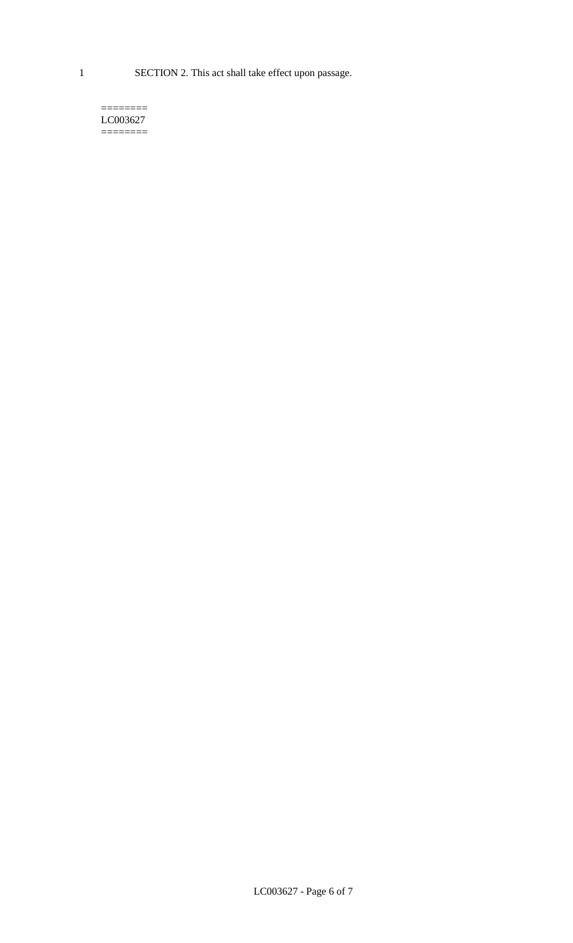1 SECTION 2. This act shall take effect upon passage.

#### $=$ LC003627  $=$